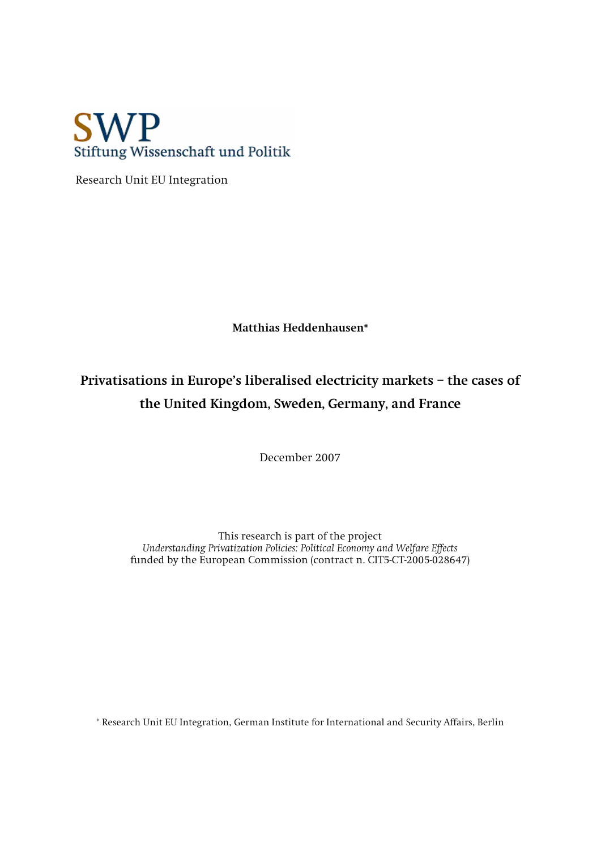

 **Research Unit EU Integration** 

**Matthias Heddenhausen\*** 

# **Privatisations in Europe's liberalised electricity markets – the cases of the United Kingdom, Sweden, Germany, and France**

**December 2007** 

**This research is part of the project**  *Understanding Privatization Policies: Political Economy and Welfare Effects*  **funded by the European Commission (contract n. CIT5-CT-2005-028647)**

**\* Research Unit EU Integration, German Institute for International and Security Affairs, Berlin**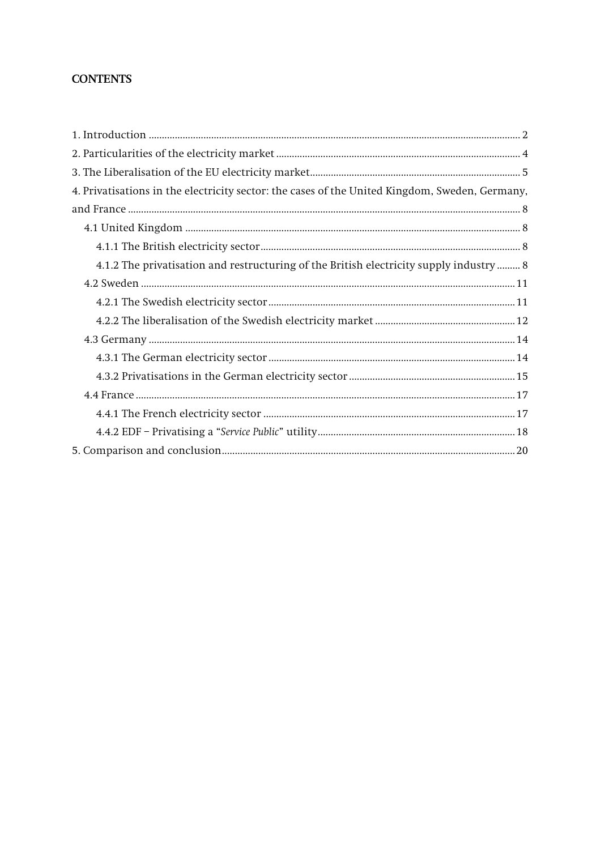# **CONTENTS**

| 4. Privatisations in the electricity sector: the cases of the United Kingdom, Sweden, Germany, |
|------------------------------------------------------------------------------------------------|
|                                                                                                |
|                                                                                                |
|                                                                                                |
| 4.1.2 The privatisation and restructuring of the British electricity supply industry  8        |
|                                                                                                |
|                                                                                                |
|                                                                                                |
|                                                                                                |
|                                                                                                |
|                                                                                                |
|                                                                                                |
|                                                                                                |
|                                                                                                |
|                                                                                                |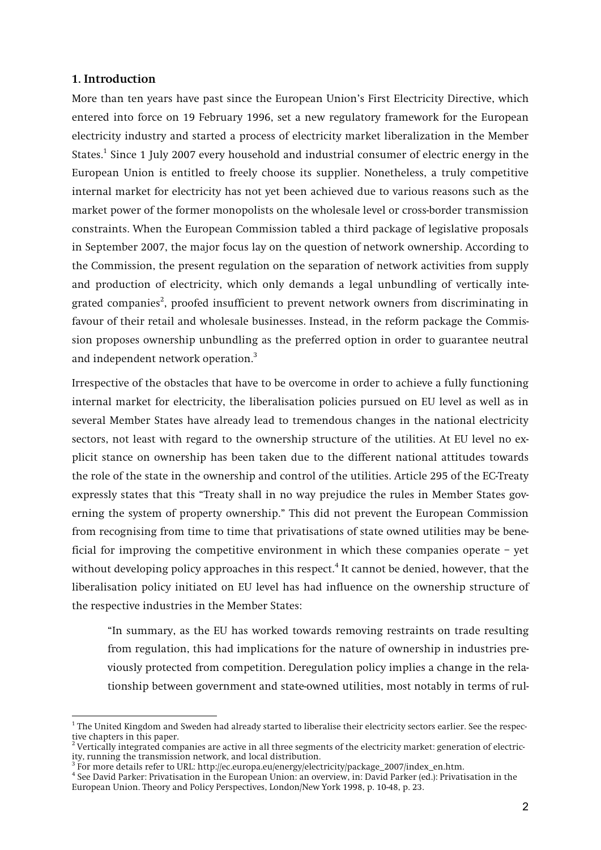#### **1. Introduction**

**More than ten years have past since the European Union's First Electricity Directive, which entered into force on 19 February 1996, set a new regulatory framework for the European electricity industry and started a process of electricity market liberalization in the Member States.<sup>1</sup> Since 1 July 2007 every household and industrial consumer of electric energy in the European Union is entitled to freely choose its supplier. Nonetheless, a truly competitive internal market for electricity has not yet been achieved due to various reasons such as the market power of the former monopolists on the wholesale level or cross-border transmission constraints. When the European Commission tabled a third package of legislative proposals in September 2007, the major focus lay on the question of network ownership. According to the Commission, the present regulation on the separation of network activities from supply and production of electricity, which only demands a legal unbundling of vertically integrated companies<sup>2</sup> , proofed insufficient to prevent network owners from discriminating in favour of their retail and wholesale businesses. Instead, in the reform package the Commission proposes ownership unbundling as the preferred option in order to guarantee neutral and independent network operation.<sup>3</sup>**

**Irrespective of the obstacles that have to be overcome in order to achieve a fully functioning internal market for electricity, the liberalisation policies pursued on EU level as well as in several Member States have already lead to tremendous changes in the national electricity sectors, not least with regard to the ownership structure of the utilities. At EU level no explicit stance on ownership has been taken due to the different national attitudes towards the role of the state in the ownership and control of the utilities. Article 295 of the EC-Treaty expressly states that this "Treaty shall in no way prejudice the rules in Member States governing the system of property ownership." This did not prevent the European Commission from recognising from time to time that privatisations of state owned utilities may be beneficial for improving the competitive environment in which these companies operate – yet without developing policy approaches in this respect.<sup>4</sup> It cannot be denied, however, that the liberalisation policy initiated on EU level has had influence on the ownership structure of the respective industries in the Member States:** 

**"In summary, as the EU has worked towards removing restraints on trade resulting from regulation, this had implications for the nature of ownership in industries previously protected from competition. Deregulation policy implies a change in the relationship between government and state-owned utilities, most notably in terms of rul-**

**<sup>1</sup> The United Kingdom and Sweden had already started to liberalise their electricity sectors earlier. See the respective chapters in this paper.** 

**<sup>2</sup> Vertically integrated companies are active in all three segments of the electricity market: generation of electricity, running the transmission network, and local distribution.** 

<sup>&</sup>lt;sup>3</sup> For more details refer to URL: http://ec.europa.eu/energy/electricity/package\_2007/index\_en.htm.

**<sup>4</sup> See David Parker: Privatisation in the European Union: an overview, in: David Parker (ed.): Privatisation in the European Union. Theory and Policy Perspectives, London/New York 1998, p. 10-48, p. 23.**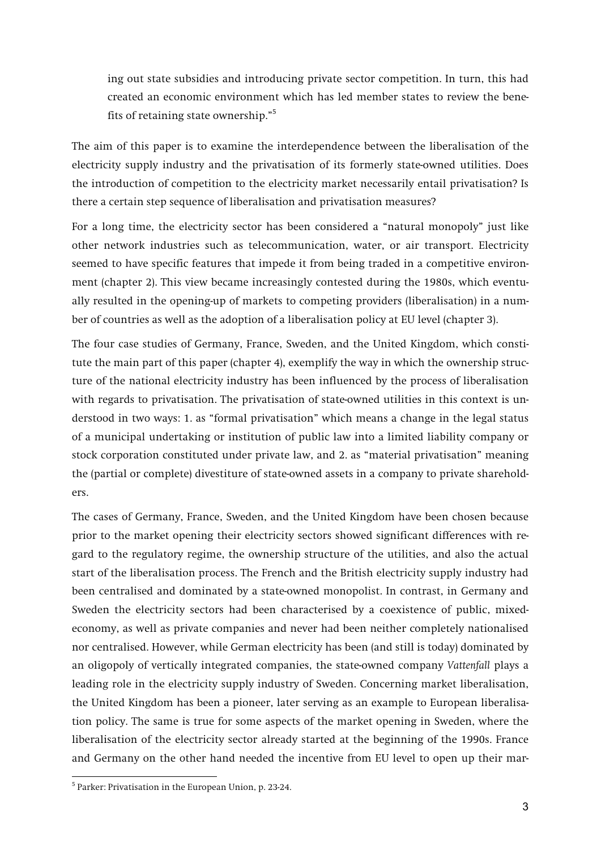**ing out state subsidies and introducing private sector competition. In turn, this had created an economic environment which has led member states to review the benefits of retaining state ownership."5**

**The aim of this paper is to examine the interdependence between the liberalisation of the electricity supply industry and the privatisation of its formerly state-owned utilities. Does the introduction of competition to the electricity market necessarily entail privatisation? Is there a certain step sequence of liberalisation and privatisation measures?** 

**For a long time, the electricity sector has been considered a "natural monopoly" just like other network industries such as telecommunication, water, or air transport. Electricity seemed to have specific features that impede it from being traded in a competitive environment (chapter 2). This view became increasingly contested during the 1980s, which eventually resulted in the opening-up of markets to competing providers (liberalisation) in a number of countries as well as the adoption of a liberalisation policy at EU level (chapter 3).** 

**The four case studies of Germany, France, Sweden, and the United Kingdom, which constitute the main part of this paper (chapter 4), exemplify the way in which the ownership structure of the national electricity industry has been influenced by the process of liberalisation with regards to privatisation. The privatisation of state-owned utilities in this context is understood in two ways: 1. as "formal privatisation" which means a change in the legal status of a municipal undertaking or institution of public law into a limited liability company or stock corporation constituted under private law, and 2. as "material privatisation" meaning the (partial or complete) divestiture of state-owned assets in a company to private shareholders.**

**The cases of Germany, France, Sweden, and the United Kingdom have been chosen because prior to the market opening their electricity sectors showed significant differences with regard to the regulatory regime, the ownership structure of the utilities, and also the actual start of the liberalisation process. The French and the British electricity supply industry had been centralised and dominated by a state-owned monopolist. In contrast, in Germany and Sweden the electricity sectors had been characterised by a coexistence of public, mixedeconomy, as well as private companies and never had been neither completely nationalised nor centralised. However, while German electricity has been (and still is today) dominated by an oligopoly of vertically integrated companies, the state-owned company** *Vattenfall* **plays a leading role in the electricity supply industry of Sweden. Concerning market liberalisation, the United Kingdom has been a pioneer, later serving as an example to European liberalisation policy. The same is true for some aspects of the market opening in Sweden, where the liberalisation of the electricity sector already started at the beginning of the 1990s. France and Germany on the other hand needed the incentive from EU level to open up their mar-**

**<sup>5</sup> Parker: Privatisation in the European Union, p. 23-24.**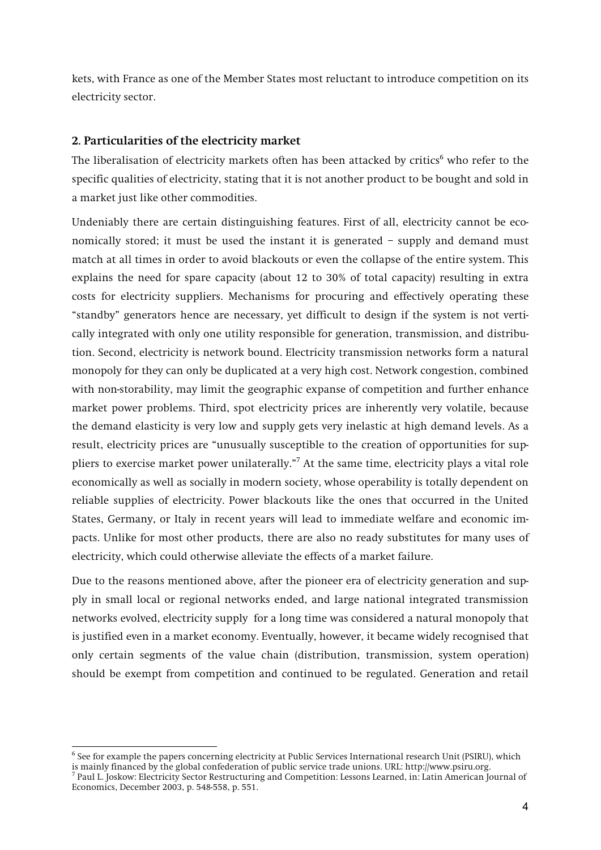**kets, with France as one of the Member States most reluctant to introduce competition on its electricity sector.** 

# **2. Particularities of the electricity market**

**The liberalisation of electricity markets often has been attacked by critics<sup>6</sup> who refer to the specific qualities of electricity, stating that it is not another product to be bought and sold in a market just like other commodities.** 

**Undeniably there are certain distinguishing features. First of all, electricity cannot be economically stored; it must be used the instant it is generated – supply and demand must match at all times in order to avoid blackouts or even the collapse of the entire system. This explains the need for spare capacity (about 12 to 30% of total capacity) resulting in extra costs for electricity suppliers. Mechanisms for procuring and effectively operating these "standby" generators hence are necessary, yet difficult to design if the system is not vertically integrated with only one utility responsible for generation, transmission, and distribution. Second, electricity is network bound. Electricity transmission networks form a natural monopoly for they can only be duplicated at a very high cost. Network congestion, combined with non-storability, may limit the geographic expanse of competition and further enhance market power problems. Third, spot electricity prices are inherently very volatile, because the demand elasticity is very low and supply gets very inelastic at high demand levels. As a result, electricity prices are "unusually susceptible to the creation of opportunities for suppliers to exercise market power unilaterally."<sup>7</sup> At the same time, electricity plays a vital role economically as well as socially in modern society, whose operability is totally dependent on reliable supplies of electricity. Power blackouts like the ones that occurred in the United States, Germany, or Italy in recent years will lead to immediate welfare and economic impacts. Unlike for most other products, there are also no ready substitutes for many uses of electricity, which could otherwise alleviate the effects of a market failure.** 

**Due to the reasons mentioned above, after the pioneer era of electricity generation and supply in small local or regional networks ended, and large national integrated transmission networks evolved, electricity supply for a long time was considered a natural monopoly that is justified even in a market economy. Eventually, however, it became widely recognised that only certain segments of the value chain (distribution, transmission, system operation) should be exempt from competition and continued to be regulated. Generation and retail** 

**<sup>6</sup> See for example the papers concerning electricity at Public Services International research Unit (PSIRU), which is mainly financed by the global confederation of public service trade unions. URL: http://www.psiru.org.** 

**<sup>7</sup> Paul L. Joskow: Electricity Sector Restructuring and Competition: Lessons Learned, in: Latin American Journal of Economics, December 2003, p. 548-558, p. 551.**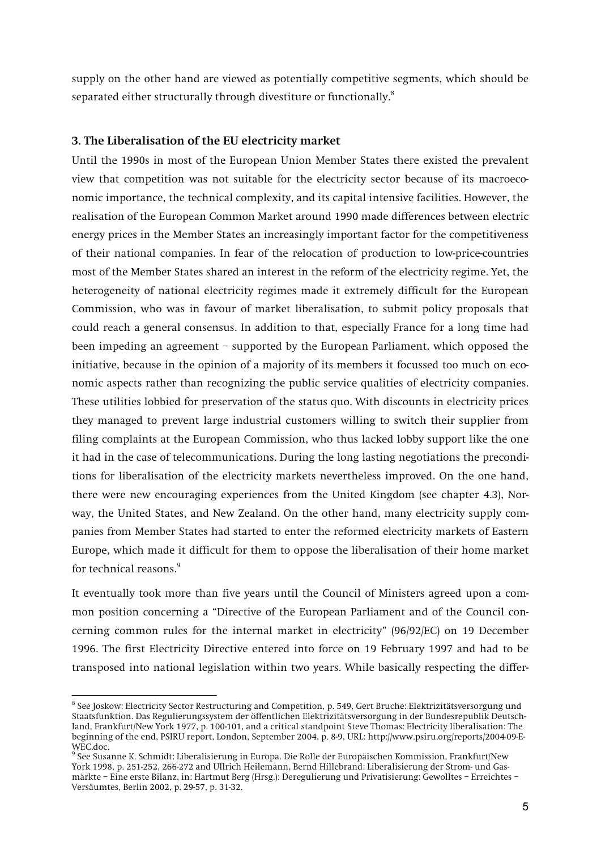**supply on the other hand are viewed as potentially competitive segments, which should be separated either structurally through divestiture or functionally.<sup>8</sup>**

# **3. The Liberalisation of the EU electricity market**

**Until the 1990s in most of the European Union Member States there existed the prevalent view that competition was not suitable for the electricity sector because of its macroeconomic importance, the technical complexity, and its capital intensive facilities. However, the realisation of the European Common Market around 1990 made differences between electric energy prices in the Member States an increasingly important factor for the competitiveness of their national companies. In fear of the relocation of production to low-price-countries most of the Member States shared an interest in the reform of the electricity regime. Yet, the heterogeneity of national electricity regimes made it extremely difficult for the European Commission, who was in favour of market liberalisation, to submit policy proposals that could reach a general consensus. In addition to that, especially France for a long time had been impeding an agreement – supported by the European Parliament, which opposed the initiative, because in the opinion of a majority of its members it focussed too much on economic aspects rather than recognizing the public service qualities of electricity companies. These utilities lobbied for preservation of the status quo. With discounts in electricity prices they managed to prevent large industrial customers willing to switch their supplier from filing complaints at the European Commission, who thus lacked lobby support like the one it had in the case of telecommunications. During the long lasting negotiations the preconditions for liberalisation of the electricity markets nevertheless improved. On the one hand, there were new encouraging experiences from the United Kingdom (see chapter 4.3), Norway, the United States, and New Zealand. On the other hand, many electricity supply companies from Member States had started to enter the reformed electricity markets of Eastern Europe, which made it difficult for them to oppose the liberalisation of their home market for technical reasons.<sup>9</sup>**

**It eventually took more than five years until the Council of Ministers agreed upon a common position concerning a "Directive of the European Parliament and of the Council concerning common rules for the internal market in electricity" (96/92/EC) on 19 December 1996. The first Electricity Directive entered into force on 19 February 1997 and had to be transposed into national legislation within two years. While basically respecting the differ-**

**<sup>8</sup> See Joskow: Electricity Sector Restructuring and Competition, p. 549, Gert Bruche: Elektrizitätsversorgung und Staatsfunktion. Das Regulierungssystem der öffentlichen Elektrizitätsversorgung in der Bundesrepublik Deutschland, Frankfurt/New York 1977, p. 100-101, and a critical standpoint Steve Thomas: Electricity liberalisation: The beginning of the end, PSIRU report, London, September 2004, p. 8-9, URL: http://www.psiru.org/reports/2004-09-E-WEC.doc.**

**<sup>9</sup> See Susanne K. Schmidt: Liberalisierung in Europa. Die Rolle der Europäischen Kommission, Frankfurt/New York 1998, p. 251-252, 266-272 and Ullrich Heilemann, Bernd Hillebrand: Liberalisierung der Strom- und Gasmärkte – Eine erste Bilanz, in: Hartmut Berg (Hrsg.): Deregulierung und Privatisierung: Gewolltes – Erreichtes – Versäumtes, Berlin 2002, p. 29-57, p. 31-32.**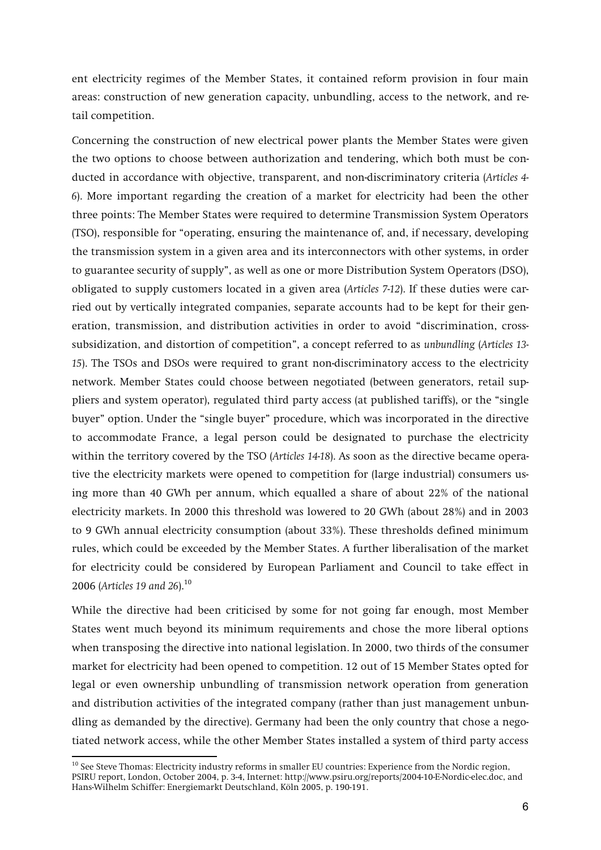**ent electricity regimes of the Member States, it contained reform provision in four main areas: construction of new generation capacity, unbundling, access to the network, and retail competition.** 

**Concerning the construction of new electrical power plants the Member States were given the two options to choose between authorization and tendering, which both must be conducted in accordance with objective, transparent, and non-discriminatory criteria (***Articles 4- 6***). More important regarding the creation of a market for electricity had been the other three points: The Member States were required to determine Transmission System Operators (TSO), responsible for "operating, ensuring the maintenance of, and, if necessary, developing the transmission system in a given area and its interconnectors with other systems, in order to guarantee security of supply", as well as one or more Distribution System Operators (DSO), obligated to supply customers located in a given area (***Articles 7-12***). If these duties were carried out by vertically integrated companies, separate accounts had to be kept for their generation, transmission, and distribution activities in order to avoid "discrimination, crosssubsidization, and distortion of competition", a concept referred to as** *unbundling* **(***Articles 13- 15***). The TSOs and DSOs were required to grant non-discriminatory access to the electricity network. Member States could choose between negotiated (between generators, retail suppliers and system operator), regulated third party access (at published tariffs), or the "single buyer" option. Under the "single buyer" procedure, which was incorporated in the directive to accommodate France, a legal person could be designated to purchase the electricity within the territory covered by the TSO (***Articles 14-18***). As soon as the directive became operative the electricity markets were opened to competition for (large industrial) consumers using more than 40 GWh per annum, which equalled a share of about 22% of the national electricity markets. In 2000 this threshold was lowered to 20 GWh (about 28%) and in 2003 to 9 GWh annual electricity consumption (about 33%). These thresholds defined minimum rules, which could be exceeded by the Member States. A further liberalisation of the market for electricity could be considered by European Parliament and Council to take effect in 2006 (***Articles 19 and 26***).<sup>10</sup>**

**While the directive had been criticised by some for not going far enough, most Member States went much beyond its minimum requirements and chose the more liberal options when transposing the directive into national legislation. In 2000, two thirds of the consumer market for electricity had been opened to competition. 12 out of 15 Member States opted for legal or even ownership unbundling of transmission network operation from generation and distribution activities of the integrated company (rather than just management unbundling as demanded by the directive). Germany had been the only country that chose a negotiated network access, while the other Member States installed a system of third party access** 

**<sup>10</sup> See Steve Thomas: Electricity industry reforms in smaller EU countries: Experience from the Nordic region, PSIRU report, London, October 2004, p. 3-4, Internet: http://www.psiru.org/reports/2004-10-E-Nordic-elec.doc, and Hans-Wilhelm Schiffer: Energiemarkt Deutschland, Köln 2005, p. 190-191.**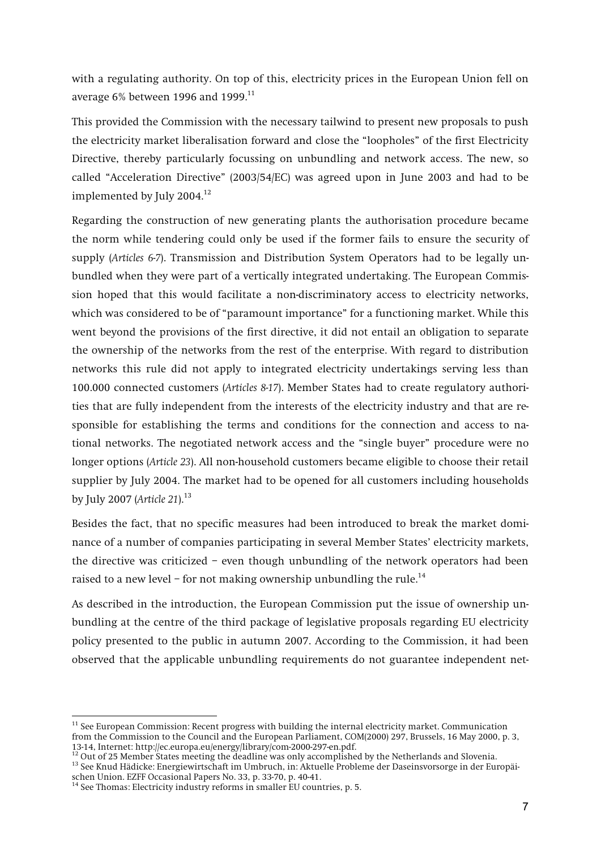**with a regulating authority. On top of this, electricity prices in the European Union fell on average 6% between 1996 and 1999.11**

**This provided the Commission with the necessary tailwind to present new proposals to push the electricity market liberalisation forward and close the "loopholes" of the first Electricity Directive, thereby particularly focussing on unbundling and network access. The new, so called "Acceleration Directive" (2003/54/EC) was agreed upon in June 2003 and had to be implemented by July 2004.12**

**Regarding the construction of new generating plants the authorisation procedure became the norm while tendering could only be used if the former fails to ensure the security of supply (***Articles 6-7***). Transmission and Distribution System Operators had to be legally unbundled when they were part of a vertically integrated undertaking. The European Commission hoped that this would facilitate a non-discriminatory access to electricity networks, which was considered to be of "paramount importance" for a functioning market. While this went beyond the provisions of the first directive, it did not entail an obligation to separate the ownership of the networks from the rest of the enterprise. With regard to distribution networks this rule did not apply to integrated electricity undertakings serving less than 100.000 connected customers (***Articles 8-17***). Member States had to create regulatory authorities that are fully independent from the interests of the electricity industry and that are responsible for establishing the terms and conditions for the connection and access to national networks. The negotiated network access and the "single buyer" procedure were no longer options (***Article 23***). All non-household customers became eligible to choose their retail supplier by July 2004. The market had to be opened for all customers including households by July 2007 (***Article 21***).<sup>13</sup>**

**Besides the fact, that no specific measures had been introduced to break the market dominance of a number of companies participating in several Member States' electricity markets, the directive was criticized – even though unbundling of the network operators had been raised to a new level – for not making ownership unbundling the rule.14**

**As described in the introduction, the European Commission put the issue of ownership unbundling at the centre of the third package of legislative proposals regarding EU electricity policy presented to the public in autumn 2007. According to the Commission, it had been observed that the applicable unbundling requirements do not guarantee independent net-**

**<sup>11</sup> See European Commission: Recent progress with building the internal electricity market. Communication from the Commission to the Council and the European Parliament, COM(2000) 297, Brussels, 16 May 2000, p. 3, 13-14, Internet: http://ec.europa.eu/energy/library/com-2000-297-en.pdf.**

<sup>&</sup>lt;sup>13</sup> See Knud Hädicke: Energiewirtschaft im Umbruch, in: Aktuelle Probleme der Daseinsvorsorge in der Europäi**schen Union. EZFF Occasional Papers No. 33, p. 33-70, p. 40-41.** 

**<sup>14</sup> See Thomas: Electricity industry reforms in smaller EU countries, p. 5.**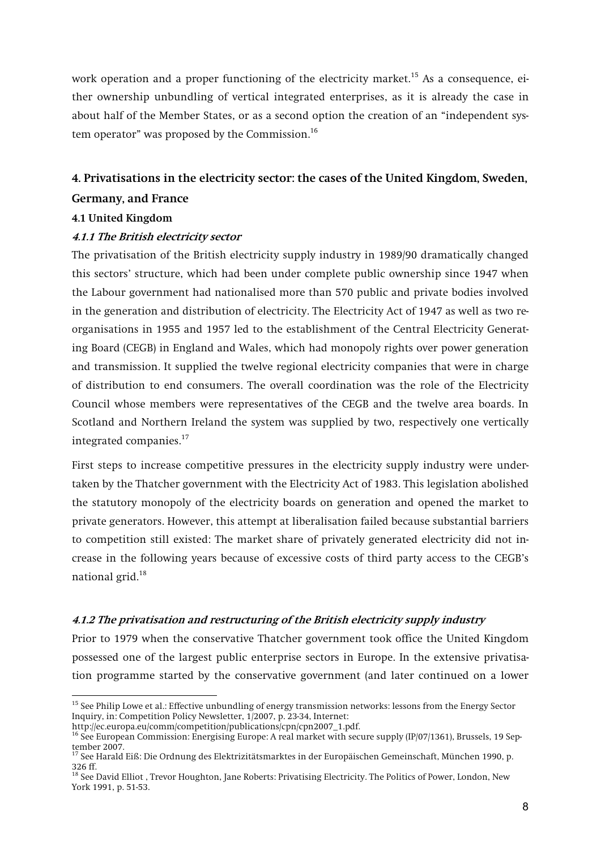**work operation and a proper functioning of the electricity market.15 As a consequence, either ownership unbundling of vertical integrated enterprises, as it is already the case in about half of the Member States, or as a second option the creation of an "independent system operator" was proposed by the Commission.<sup>16</sup>**

# **4. Privatisations in the electricity sector: the cases of the United Kingdom, Sweden, Germany, and France**

# **4.1 United Kingdom**

# **4.1.1 The British electricity sector**

**The privatisation of the British electricity supply industry in 1989/90 dramatically changed this sectors' structure, which had been under complete public ownership since 1947 when the Labour government had nationalised more than 570 public and private bodies involved in the generation and distribution of electricity. The Electricity Act of 1947 as well as two reorganisations in 1955 and 1957 led to the establishment of the Central Electricity Generating Board (CEGB) in England and Wales, which had monopoly rights over power generation and transmission. It supplied the twelve regional electricity companies that were in charge of distribution to end consumers. The overall coordination was the role of the Electricity Council whose members were representatives of the CEGB and the twelve area boards. In Scotland and Northern Ireland the system was supplied by two, respectively one vertically integrated companies.<sup>17</sup>**

**First steps to increase competitive pressures in the electricity supply industry were undertaken by the Thatcher government with the Electricity Act of 1983. This legislation abolished the statutory monopoly of the electricity boards on generation and opened the market to private generators. However, this attempt at liberalisation failed because substantial barriers to competition still existed: The market share of privately generated electricity did not increase in the following years because of excessive costs of third party access to the CEGB's national grid.<sup>18</sup>**

## **4.1.2 The privatisation and restructuring of the British electricity supply industry**

**Prior to 1979 when the conservative Thatcher government took office the United Kingdom possessed one of the largest public enterprise sectors in Europe. In the extensive privatisation programme started by the conservative government (and later continued on a lower** 

**<sup>15</sup> See Philip Lowe et al.: Effective unbundling of energy transmission networks: lessons from the Energy Sector Inquiry, in: Competition Policy Newsletter, 1/2007, p. 23-34, Internet:** 

**http://ec.europa.eu/comm/competition/publications/cpn/cpn2007\_1.pdf.** 

**<sup>16</sup> See European Commission: Energising Europe: A real market with secure supply (IP/07/1361), Brussels, 19 September 2007.** 

**<sup>17</sup> See Harald Eiß: Die Ordnung des Elektrizitätsmarktes in der Europäischen Gemeinschaft, München 1990, p. 326 ff.** 

**<sup>18</sup> See David Elliot , Trevor Houghton, Jane Roberts: Privatising Electricity. The Politics of Power, London, New York 1991, p. 51-53.**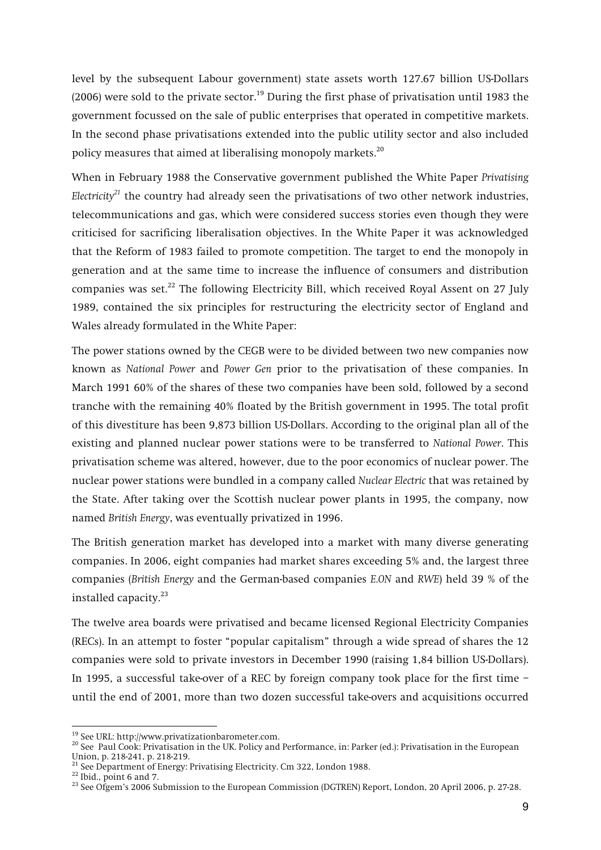**level by the subsequent Labour government) state assets worth 127.67 billion US-Dollars (2006) were sold to the private sector.19 During the first phase of privatisation until 1983 the government focussed on the sale of public enterprises that operated in competitive markets. In the second phase privatisations extended into the public utility sector and also included policy measures that aimed at liberalising monopoly markets.20**

**When in February 1988 the Conservative government published the White Paper** *Privatising Electricity<sup>21</sup>* **the country had already seen the privatisations of two other network industries, telecommunications and gas, which were considered success stories even though they were criticised for sacrificing liberalisation objectives. In the White Paper it was acknowledged that the Reform of 1983 failed to promote competition. The target to end the monopoly in generation and at the same time to increase the influence of consumers and distribution companies was set.22 The following Electricity Bill, which received Royal Assent on 27 July 1989, contained the six principles for restructuring the electricity sector of England and Wales already formulated in the White Paper:** 

**The power stations owned by the CEGB were to be divided between two new companies now known as** *National Power* **and** *Power Gen* **prior to the privatisation of these companies. In March 1991 60% of the shares of these two companies have been sold, followed by a second tranche with the remaining 40% floated by the British government in 1995. The total profit of this divestiture has been 9,873 billion US-Dollars. According to the original plan all of the existing and planned nuclear power stations were to be transferred to** *National Power***. This privatisation scheme was altered, however, due to the poor economics of nuclear power. The nuclear power stations were bundled in a company called** *Nuclear Electric* **that was retained by the State. After taking over the Scottish nuclear power plants in 1995, the company, now named** *British Energy***, was eventually privatized in 1996.** 

**The British generation market has developed into a market with many diverse generating companies. In 2006, eight companies had market shares exceeding 5% and, the largest three companies (***British Energy* **and the German-based companies** *E.ON* **and** *RWE***) held 39 % of the installed capacity.<sup>23</sup>**

**The twelve area boards were privatised and became licensed Regional Electricity Companies (RECs). In an attempt to foster "popular capitalism" through a wide spread of shares the 12 companies were sold to private investors in December 1990 (raising 1,84 billion US-Dollars). In 1995, a successful take-over of a REC by foreign company took place for the first time – until the end of 2001, more than two dozen successful take-overs and acquisitions occurred** 

<sup>&</sup>lt;sup>19</sup> See URL: http://www.privatizationbarometer.com.<br><sup>20</sup> See Paul Cook: Privatisation in the UK. Policy and Performance, in: Parker (ed.): Privatisation in the European **Union, p. 218-241, p. 218-219.** 

<sup>&</sup>lt;sup>21</sup> See Department of Energy: Privatising Electricity. Cm 322, London 1988.<br><sup>22</sup> Ibid., point 6 and 7.<br><sup>23</sup> See Ofgem's 2006 Submission to the European Commission (DGTREN) Report, London, 20 April 2006, p. 27-28.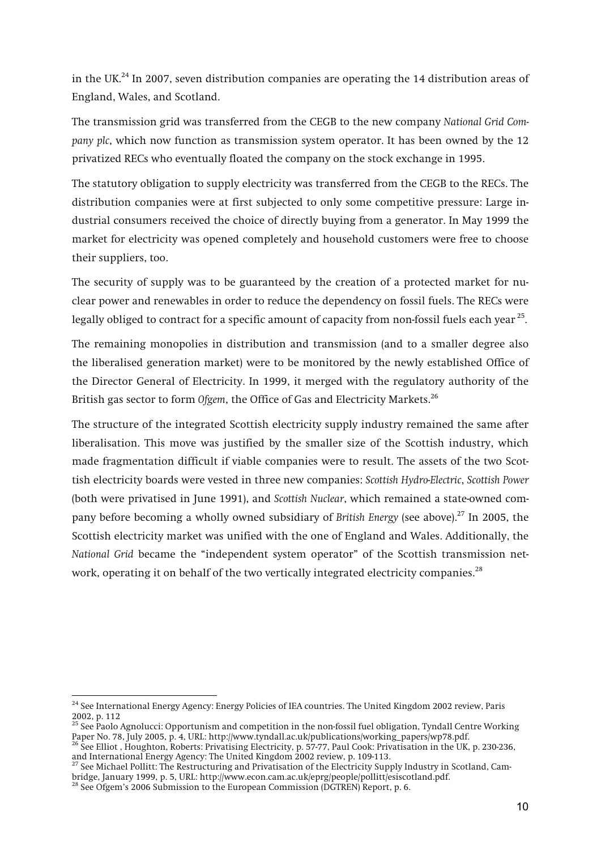**in the UK.24 In 2007, seven distribution companies are operating the 14 distribution areas of England, Wales, and Scotland.** 

**The transmission grid was transferred from the CEGB to the new company** *National Grid Company plc***, which now function as transmission system operator. It has been owned by the 12 privatized RECs who eventually floated the company on the stock exchange in 1995.** 

**The statutory obligation to supply electricity was transferred from the CEGB to the RECs. The distribution companies were at first subjected to only some competitive pressure: Large industrial consumers received the choice of directly buying from a generator. In May 1999 the market for electricity was opened completely and household customers were free to choose their suppliers, too.** 

**The security of supply was to be guaranteed by the creation of a protected market for nuclear power and renewables in order to reduce the dependency on fossil fuels. The RECs were legally obliged to contract for a specific amount of capacity from non-fossil fuels each year 25.**

**The remaining monopolies in distribution and transmission (and to a smaller degree also the liberalised generation market) were to be monitored by the newly established Office of the Director General of Electricity. In 1999, it merged with the regulatory authority of the British gas sector to form** *Ofgem***, the Office of Gas and Electricity Markets.<sup>26</sup>**

**The structure of the integrated Scottish electricity supply industry remained the same after liberalisation. This move was justified by the smaller size of the Scottish industry, which made fragmentation difficult if viable companies were to result. The assets of the two Scottish electricity boards were vested in three new companies:** *Scottish Hydro-Electric***,** *Scottish Power* **(both were privatised in June 1991), and** *Scottish Nuclear***, which remained a state-owned company before becoming a wholly owned subsidiary of** *British Energy* **(see above).27 In 2005, the Scottish electricity market was unified with the one of England and Wales. Additionally, the**  *National Grid* **became the "independent system operator" of the Scottish transmission network, operating it on behalf of the two vertically integrated electricity companies.<sup>28</sup>**

**<sup>24</sup> See International Energy Agency: Energy Policies of IEA countries. The United Kingdom 2002 review, Paris 2002, p. 112** 

**<sup>25</sup> See Paolo Agnolucci: Opportunism and competition in the non-fossil fuel obligation, Tyndall Centre Working Paper No. 78, July 2005, p. 4, URL: http://www.tyndall.ac.uk/publications/working\_papers/wp78.pdf.**

<sup>&</sup>lt;sup>26</sup> See Elliot , Houghton, Roberts: Privatising Electricity, p. 57-77, Paul Cook: Privatisation in the UK, p. 230-236, **and International Energy Agency: The United Kingdom 2002 review, p. 109-113.** 

**<sup>27</sup> See Michael Pollitt: The Restructuring and Privatisation of the Electricity Supply Industry in Scotland, Cambridge, January 1999, p. 5, URL: http://www.econ.cam.ac.uk/eprg/people/pollitt/esiscotland.pdf.** 

**<sup>28</sup> See Ofgem's 2006 Submission to the European Commission (DGTREN) Report, p. 6.**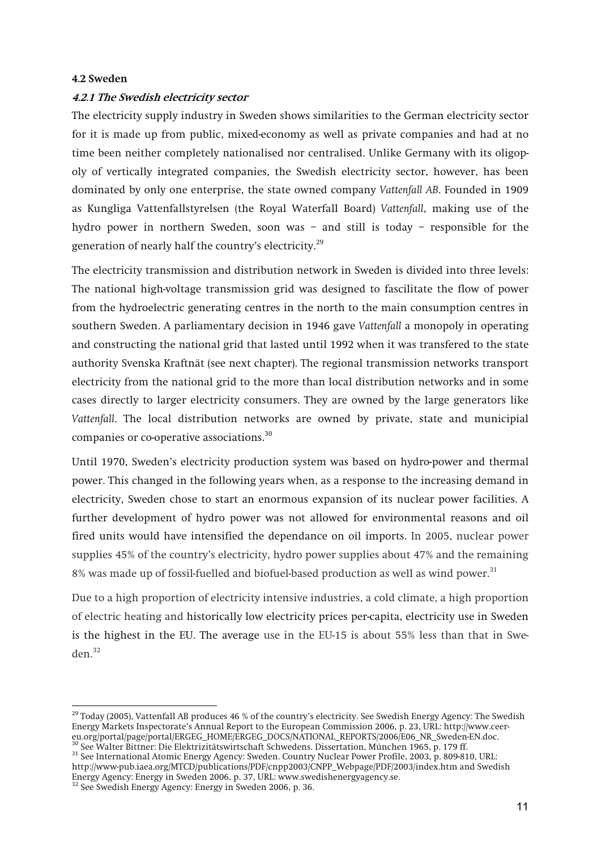#### **4.2 Sweden**

#### **4.2.1 The Swedish electricity sector**

**The electricity supply industry in Sweden shows similarities to the German electricity sector for it is made up from public, mixed-economy as well as private companies and had at no time been neither completely nationalised nor centralised. Unlike Germany with its oligopoly of vertically integrated companies, the Swedish electricity sector, however, has been dominated by only one enterprise, the state owned company** *Vattenfall AB***. Founded in 1909 as Kungliga Vattenfallstyrelsen (the Royal Waterfall Board)** *Vattenfall***, making use of the hydro power in northern Sweden, soon was – and still is today – responsible for the generation of nearly half the country's electricity.<sup>29</sup>**

**The electricity transmission and distribution network in Sweden is divided into three levels: The national high-voltage transmission grid was designed to fascilitate the flow of power from the hydroelectric generating centres in the north to the main consumption centres in southern Sweden. A parliamentary decision in 1946 gave** *Vattenfall* **a monopoly in operating and constructing the national grid that lasted until 1992 when it was transfered to the state authority Svenska Kraftnät (see next chapter). The regional transmission networks transport electricity from the national grid to the more than local distribution networks and in some cases directly to larger electricity consumers. They are owned by the large generators like**  *Vattenfall***. The local distribution networks are owned by private, state and municipial companies or co-operative associations.<sup>30</sup>**

**Until 1970, Sweden's electricity production system was based on hydro-power and thermal power. This changed in the following years when, as a response to the increasing demand in electricity, Sweden chose to start an enormous expansion of its nuclear power facilities. A further development of hydro power was not allowed for environmental reasons and oil fired units would have intensified the dependance on oil imports. In 2005, nuclear power supplies 45% of the country's electricity, hydro power supplies about 47% and the remaining 8% was made up of fossil-fuelled and biofuel-based production as well as wind power.<sup>31</sup>**

**Due to a high proportion of electricity intensive industries, a cold climate, a high proportion of electric heating and historically low electricity prices per-capita, electricity use in Sweden is the highest in the EU. The average use in the EU-15 is about 55% less than that in Sweden.<sup>32</sup>**

**<sup>29</sup> Today (2005), Vattenfall AB produces 46 % of the country's electricity. See Swedish Energy Agency: The Swedish Energy Markets Inspectorate's Annual Report to the European Commission 2006, p. 23, URL: http://www.ceereu.org/portal/page/portal/ERGEG\_HOME/ERGEG\_DOCS/NATIONAL\_REPORTS/2006/E06\_NR\_Sweden-EN.doc.** 

**<sup>30</sup> See Walter Bittner: Die Elektrizitätswirtschaft Schwedens. Dissertation, München 1965, p. 179 ff. 31 See International Atomic Energy Agency: Sweden. Country Nuclear Power Profile, 2003, p. 809-810, URL:** 

**http://www-pub.iaea.org/MTCD/publications/PDF/cnpp2003/CNPP\_Webpage/PDF/2003/index.htm and Swedish Energy Agency: Energy in Sweden 2006, p. 37, URL: www.swedishenergyagency.se.** 

**<sup>32</sup> See Swedish Energy Agency: Energy in Sweden 2006, p. 36.**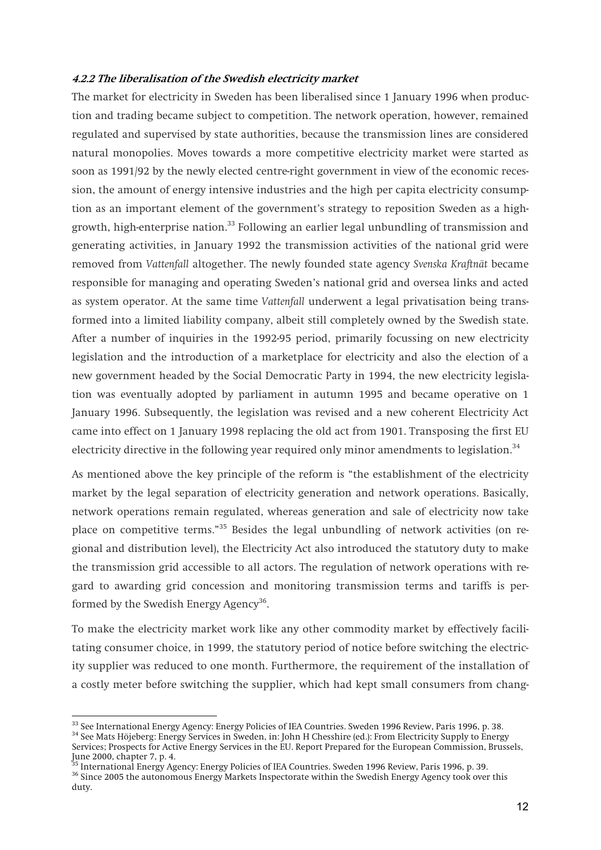#### **4.2.2 The liberalisation of the Swedish electricity market**

**The market for electricity in Sweden has been liberalised since 1 January 1996 when production and trading became subject to competition. The network operation, however, remained regulated and supervised by state authorities, because the transmission lines are considered natural monopolies. Moves towards a more competitive electricity market were started as soon as 1991/92 by the newly elected centre-right government in view of the economic recession, the amount of energy intensive industries and the high per capita electricity consumption as an important element of the government's strategy to reposition Sweden as a highgrowth, high-enterprise nation.33 Following an earlier legal unbundling of transmission and generating activities, in January 1992 the transmission activities of the national grid were removed from** *Vattenfall* **altogether. The newly founded state agency** *Svenska Kraftnät* **became responsible for managing and operating Sweden's national grid and oversea links and acted as system operator. At the same time** *Vattenfall* **underwent a legal privatisation being transformed into a limited liability company, albeit still completely owned by the Swedish state. After a number of inquiries in the 1992-95 period, primarily focussing on new electricity legislation and the introduction of a marketplace for electricity and also the election of a new government headed by the Social Democratic Party in 1994, the new electricity legislation was eventually adopted by parliament in autumn 1995 and became operative on 1 January 1996. Subsequently, the legislation was revised and a new coherent Electricity Act came into effect on 1 January 1998 replacing the old act from 1901. Transposing the first EU electricity directive in the following year required only minor amendments to legislation.<sup>34</sup>**

**As mentioned above the key principle of the reform is "the establishment of the electricity market by the legal separation of electricity generation and network operations. Basically, network operations remain regulated, whereas generation and sale of electricity now take place on competitive terms."35 Besides the legal unbundling of network activities (on regional and distribution level), the Electricity Act also introduced the statutory duty to make the transmission grid accessible to all actors. The regulation of network operations with regard to awarding grid concession and monitoring transmission terms and tariffs is performed by the Swedish Energy Agency36.**

**To make the electricity market work like any other commodity market by effectively facilitating consumer choice, in 1999, the statutory period of notice before switching the electricity supplier was reduced to one month. Furthermore, the requirement of the installation of a costly meter before switching the supplier, which had kept small consumers from chang-**

 $^{33}$  See International Energy Agency: Energy Policies of IEA Countries. Sweden 1996 Review, Paris 1996, p. 38.<br> $^{34}$  See Mats Höjeberg: Energy Services in Sweden, in: John H Chesshire (ed.): From Electricity Supply to **Services; Prospects for Active Energy Services in the EU. Report Prepared for the European Commission, Brussels,** 

**June 2000, chapter 7, p. 4.** 

**<sup>35</sup> International Energy Agency: Energy Policies of IEA Countries. Sweden 1996 Review, Paris 1996, p. 39. 36 Since 2005 the autonomous Energy Markets Inspectorate within the Swedish Energy Agency took over this duty.**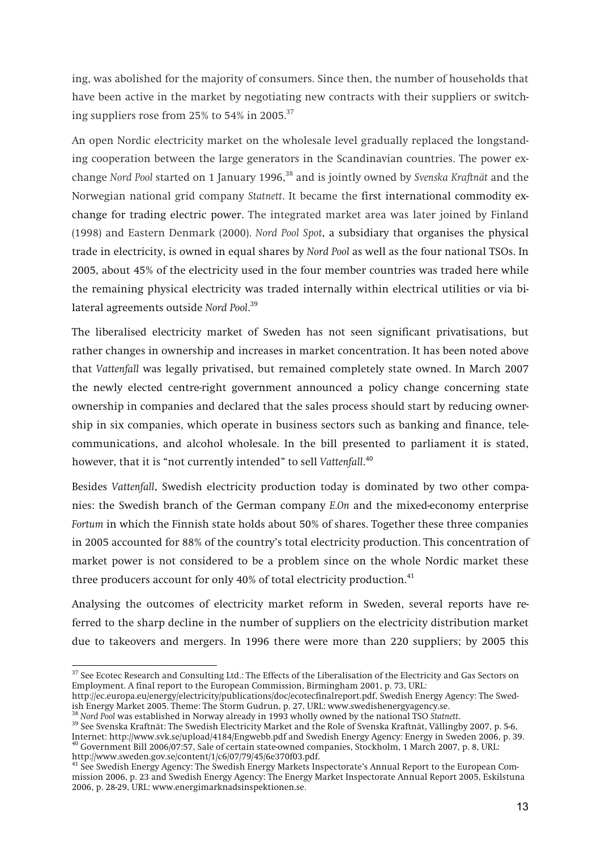**ing, was abolished for the majority of consumers. Since then, the number of households that have been active in the market by negotiating new contracts with their suppliers or switching suppliers rose from 25% to 54% in 2005.37**

**An open Nordic electricity market on the wholesale level gradually replaced the longstanding cooperation between the large generators in the Scandinavian countries. The power exchange** *Nord Pool* **started on 1 January 1996,38 and is jointly owned by** *Svenska Kraftnät* **and the Norwegian national grid company** *Statnett***. It became the first international commodity exchange for trading electric power. The integrated market area was later joined by Finland (1998) and Eastern Denmark (2000).** *Nord Pool Spot***, a subsidiary that organises the physical trade in electricity, is owned in equal shares by** *Nord Pool* **as well as the four national TSOs. In 2005, about 45% of the electricity used in the four member countries was traded here while the remaining physical electricity was traded internally within electrical utilities or via bilateral agreements outside** *Nord Pool***. 39**

**The liberalised electricity market of Sweden has not seen significant privatisations, but rather changes in ownership and increases in market concentration. It has been noted above that** *Vattenfall* **was legally privatised, but remained completely state owned. In March 2007 the newly elected centre-right government announced a policy change concerning state ownership in companies and declared that the sales process should start by reducing ownership in six companies, which operate in business sectors such as banking and finance, telecommunications, and alcohol wholesale. In the bill presented to parliament it is stated, however, that it is "not currently intended" to sell** *Vattenfall***. 40**

**Besides** *Vattenfall***, Swedish electricity production today is dominated by two other companies: the Swedish branch of the German company** *E.On* **and the mixed-economy enterprise**  *Fortum* **in which the Finnish state holds about 50% of shares. Together these three companies in 2005 accounted for 88% of the country's total electricity production. This concentration of market power is not considered to be a problem since on the whole Nordic market these three producers account for only 40% of total electricity production.41**

**Analysing the outcomes of electricity market reform in Sweden, several reports have referred to the sharp decline in the number of suppliers on the electricity distribution market due to takeovers and mergers. In 1996 there were more than 220 suppliers; by 2005 this** 

**http://ec.europa.eu/energy/electricity/publications/doc/ecotecfinalreport.pdf, Swedish Energy Agency: The Swedish Energy Market 2005. Theme: The Storm Gudrun, p. 27, URL: www.swedishenergyagency.se.** 

**<sup>37</sup> See Ecotec Research and Consulting Ltd.: The Effects of the Liberalisation of the Electricity and Gas Sectors on Employment. A final report to the European Commission, Birmingham 2001, p. 73, URL:** 

<sup>&</sup>lt;sup>39</sup> See Svenska Kraftnät: The Swedish Electricity Market and the Role of Svenska Kraftnät, Vällingby 2007, p. 5-6, **Internet: http://www.svk.se/upload/4184/Engwebb.pdf and Swedish Energy Agency: Energy in Sweden 2006, p. 39. 40 Government Bill 2006/07:57, Sale of certain state-owned companies, Stockholm, 1 March 2007, p. 8, URL:** 

**http://www.sweden.gov.se/content/1/c6/07/79/45/6e370f03.pdf. 41 See Swedish Energy Agency: The Swedish Energy Markets Inspectorate's Annual Report to the European Commission 2006, p. 23 and Swedish Energy Agency: The Energy Market Inspectorate Annual Report 2005, Eskilstuna 2006, p. 28-29, URL: www.energimarknadsinspektionen.se.**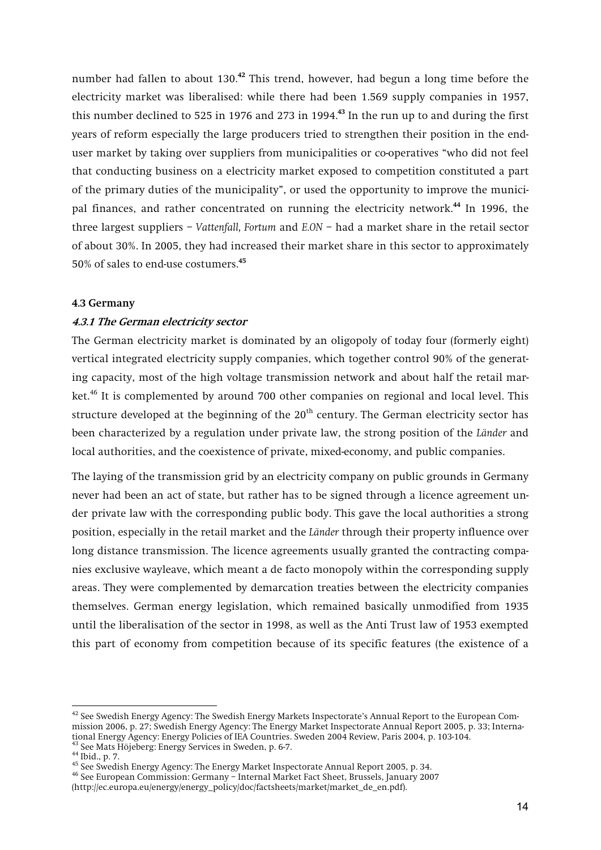**number had fallen to about 130.<sup>42</sup> This trend, however, had begun a long time before the electricity market was liberalised: while there had been 1.569 supply companies in 1957, this number declined to 525 in 1976 and 273 in 1994.<sup>43</sup> In the run up to and during the first years of reform especially the large producers tried to strengthen their position in the enduser market by taking over suppliers from municipalities or co-operatives "who did not feel that conducting business on a electricity market exposed to competition constituted a part of the primary duties of the municipality", or used the opportunity to improve the municipal finances, and rather concentrated on running the electricity network.<sup>44</sup> In 1996, the three largest suppliers –** *Vattenfall, Fortum* **and** *E.ON* **– had a market share in the retail sector of about 30%. In 2005, they had increased their market share in this sector to approximately 50% of sales to end-use costumers.<sup>45</sup>**

#### **4.3 Germany**

#### **4.3.1 The German electricity sector**

**The German electricity market is dominated by an oligopoly of today four (formerly eight) vertical integrated electricity supply companies, which together control 90% of the generating capacity, most of the high voltage transmission network and about half the retail market.46 It is complemented by around 700 other companies on regional and local level. This structure developed at the beginning of the 20th century. The German electricity sector has been characterized by a regulation under private law, the strong position of the** *Länder* **and local authorities, and the coexistence of private, mixed-economy, and public companies.** 

**The laying of the transmission grid by an electricity company on public grounds in Germany never had been an act of state, but rather has to be signed through a licence agreement under private law with the corresponding public body. This gave the local authorities a strong position, especially in the retail market and the** *Länder* **through their property influence over long distance transmission. The licence agreements usually granted the contracting companies exclusive wayleave, which meant a de facto monopoly within the corresponding supply areas. They were complemented by demarcation treaties between the electricity companies themselves. German energy legislation, which remained basically unmodified from 1935 until the liberalisation of the sector in 1998, as well as the Anti Trust law of 1953 exempted this part of economy from competition because of its specific features (the existence of a** 

**<sup>42</sup> See Swedish Energy Agency: The Swedish Energy Markets Inspectorate's Annual Report to the European Commission 2006, p. 27; Swedish Energy Agency: The Energy Market Inspectorate Annual Report 2005, p. 33; International Energy Agency: Energy Policies of IEA Countries. Sweden 2004 Review, Paris 2004, p. 103-104.** 

<sup>&</sup>lt;sup>44</sup> Ibid., p. 7.<br><sup>45</sup> See Swedish Energy Agency: The Energy Market Inspectorate Annual Report 2005, p. 34.<br><sup>46</sup> See European Commission: Germany – Internal Market Fact Sheet, Brussels, January 2007

**<sup>(</sup>http://ec.europa.eu/energy/energy\_policy/doc/factsheets/market/market\_de\_en.pdf).**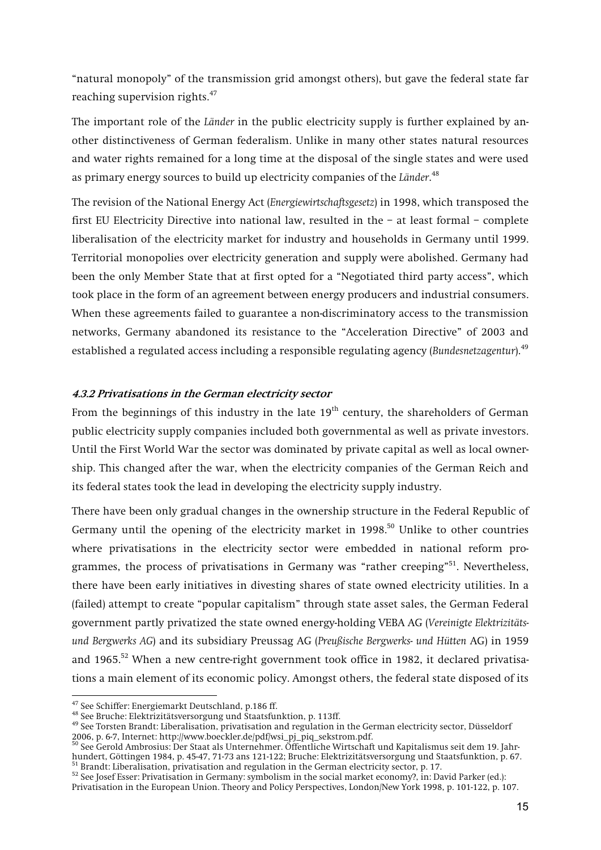**"natural monopoly" of the transmission grid amongst others), but gave the federal state far reaching supervision rights.<sup>47</sup>**

**The important role of the** *Länder* **in the public electricity supply is further explained by another distinctiveness of German federalism. Unlike in many other states natural resources and water rights remained for a long time at the disposal of the single states and were used as primary energy sources to build up electricity companies of the** *Länder***. 48**

**The revision of the National Energy Act (***Energiewirtschaftsgesetz***) in 1998, which transposed the first EU Electricity Directive into national law, resulted in the – at least formal – complete liberalisation of the electricity market for industry and households in Germany until 1999. Territorial monopolies over electricity generation and supply were abolished. Germany had been the only Member State that at first opted for a "Negotiated third party access", which took place in the form of an agreement between energy producers and industrial consumers. When these agreements failed to guarantee a non-discriminatory access to the transmission networks, Germany abandoned its resistance to the "Acceleration Directive" of 2003 and established a regulated access including a responsible regulating agency (***Bundesnetzagentur***).<sup>49</sup>**

#### **4.3.2 Privatisations in the German electricity sector**

**From the beginnings of this industry in the late 19th century, the shareholders of German public electricity supply companies included both governmental as well as private investors. Until the First World War the sector was dominated by private capital as well as local ownership. This changed after the war, when the electricity companies of the German Reich and its federal states took the lead in developing the electricity supply industry.** 

**There have been only gradual changes in the ownership structure in the Federal Republic of**  Germany until the opening of the electricity market in 1998.<sup>50</sup> Unlike to other countries **where privatisations in the electricity sector were embedded in national reform programmes, the process of privatisations in Germany was "rather creeping"51. Nevertheless, there have been early initiatives in divesting shares of state owned electricity utilities. In a (failed) attempt to create "popular capitalism" through state asset sales, the German Federal government partly privatized the state owned energy-holding VEBA AG (***Vereinigte Elektrizitätsund Bergwerks AG***) and its subsidiary Preussag AG (***Preußische Bergwerks- und Hütten* **AG) in 1959 and 1965.52 When a new centre-right government took office in 1982, it declared privatisations a main element of its economic policy. Amongst others, the federal state disposed of its** 

 $^{47}$  See Schiffer: Energiemarkt Deutschland, p.186 ff.<br> $^{48}$  See Bruche: Elektrizitätsversorgung und Staatsfunktion, p. 113ff.<br> $^{48}$  See Torsten Brandt: Liberalisation, privatisation and regulation in the German elect **2006, p. 6-7, Internet: http://www.boeckler.de/pdf/wsi\_pj\_piq\_sekstrom.pdf.** 

**<sup>50</sup> See Gerold Ambrosius: Der Staat als Unternehmer. Öffentliche Wirtschaft und Kapitalismus seit dem 19. Jahrhundert, Göttingen 1984, p. 45-47, 71-73 ans 121-122; Bruche: Elektrizitätsversorgung und Staatsfunktion, p. 67.** 

<sup>52</sup> See Josef Esser: Privatisation in Germany: symbolism in the social market economy?, in: David Parker (ed.): **Privatisation in the European Union. Theory and Policy Perspectives, London/New York 1998, p. 101-122, p. 107.**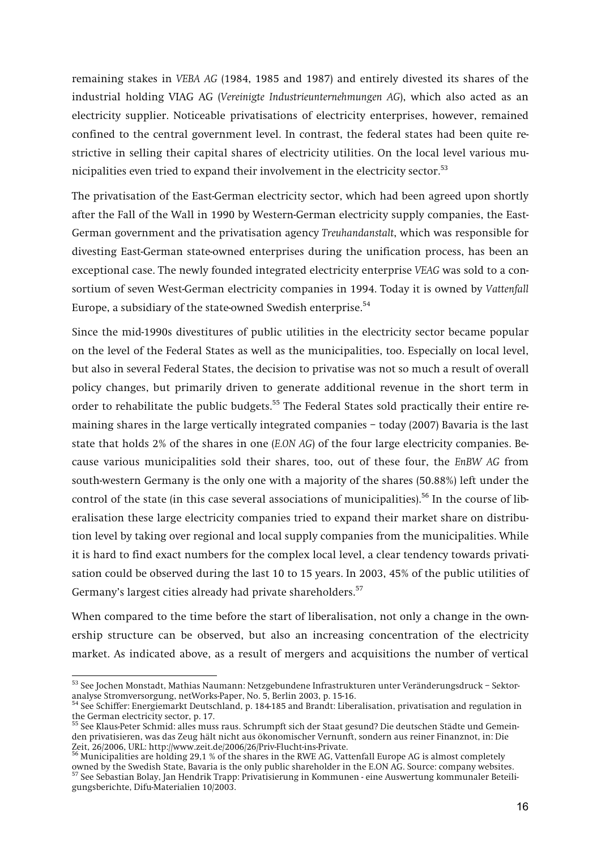**remaining stakes in** *VEBA AG* **(1984, 1985 and 1987) and entirely divested its shares of the industrial holding VIAG AG (***Vereinigte Industrieunternehmungen AG***), which also acted as an electricity supplier. Noticeable privatisations of electricity enterprises, however, remained confined to the central government level. In contrast, the federal states had been quite restrictive in selling their capital shares of electricity utilities. On the local level various municipalities even tried to expand their involvement in the electricity sector.<sup>53</sup>**

**The privatisation of the East-German electricity sector, which had been agreed upon shortly after the Fall of the Wall in 1990 by Western-German electricity supply companies, the East-German government and the privatisation agency** *Treuhandanstalt***, which was responsible for divesting East-German state-owned enterprises during the unification process, has been an exceptional case. The newly founded integrated electricity enterprise** *VEAG* **was sold to a consortium of seven West-German electricity companies in 1994. Today it is owned by** *Vattenfall* **Europe, a subsidiary of the state-owned Swedish enterprise.<sup>54</sup>**

**Since the mid-1990s divestitures of public utilities in the electricity sector became popular on the level of the Federal States as well as the municipalities, too. Especially on local level, but also in several Federal States, the decision to privatise was not so much a result of overall policy changes, but primarily driven to generate additional revenue in the short term in order to rehabilitate the public budgets.55 The Federal States sold practically their entire remaining shares in the large vertically integrated companies – today (2007) Bavaria is the last state that holds 2% of the shares in one (***E.ON AG***) of the four large electricity companies. Because various municipalities sold their shares, too, out of these four, the** *EnBW AG* **from south-western Germany is the only one with a majority of the shares (50.88%) left under the control of the state (in this case several associations of municipalities).56 In the course of liberalisation these large electricity companies tried to expand their market share on distribution level by taking over regional and local supply companies from the municipalities. While it is hard to find exact numbers for the complex local level, a clear tendency towards privatisation could be observed during the last 10 to 15 years. In 2003, 45% of the public utilities of Germany's largest cities already had private shareholders.<sup>57</sup>**

**When compared to the time before the start of liberalisation, not only a change in the ownership structure can be observed, but also an increasing concentration of the electricity market. As indicated above, as a result of mergers and acquisitions the number of vertical** 

**<sup>53</sup> See Jochen Monstadt, Mathias Naumann: Netzgebundene Infrastrukturen unter Veränderungsdruck – Sektoranalyse Stromversorgung, netWorks-Paper, No. 5, Berlin 2003, p. 15-16.** 

**<sup>54</sup> See Schiffer: Energiemarkt Deutschland, p. 184-185 and Brandt: Liberalisation, privatisation and regulation in the German electricity sector, p. 17.** 

**<sup>55</sup> See Klaus-Peter Schmid: alles muss raus. Schrumpft sich der Staat gesund? Die deutschen Städte und Gemeinden privatisieren, was das Zeug hält nicht aus ökonomischer Vernunft, sondern aus reiner Finanznot, in: Die Zeit, 26/2006, URL: http://www.zeit.de/2006/26/Priv-Flucht-ins-Private.** 

**<sup>56</sup> Municipalities are holding 29,1 % of the shares in the RWE AG, Vattenfall Europe AG is almost completely owned by the Swedish State, Bavaria is the only public shareholder in the E.ON AG. Source: company websites.** <sup>57</sup> See Sebastian Bolay, Jan Handrik Tream: Drivetics. **57 See Sebastian Bolay, Jan Hendrik Trapp: Privatisierung in Kommunen - eine Auswertung kommunaler Beteiligungsberichte, Difu-Materialien 10/2003.**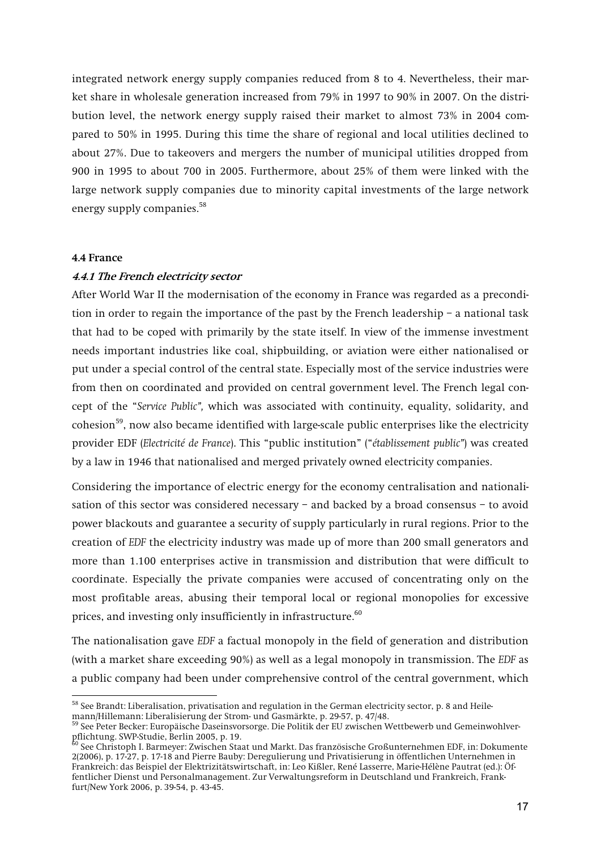**integrated network energy supply companies reduced from 8 to 4. Nevertheless, their market share in wholesale generation increased from 79% in 1997 to 90% in 2007. On the distribution level, the network energy supply raised their market to almost 73% in 2004 compared to 50% in 1995. During this time the share of regional and local utilities declined to about 27%. Due to takeovers and mergers the number of municipal utilities dropped from 900 in 1995 to about 700 in 2005. Furthermore, about 25% of them were linked with the large network supply companies due to minority capital investments of the large network energy supply companies.58**

#### **4.4 France**

#### **4.4.1 The French electricity sector**

**After World War II the modernisation of the economy in France was regarded as a precondition in order to regain the importance of the past by the French leadership – a national task that had to be coped with primarily by the state itself. In view of the immense investment needs important industries like coal, shipbuilding, or aviation were either nationalised or put under a special control of the central state. Especially most of the service industries were from then on coordinated and provided on central government level. The French legal concept of the "***Service Public",* **which was associated with continuity, equality, solidarity, and cohesion59, now also became identified with large-scale public enterprises like the electricity provider EDF (***Electricité de France***). This "public institution" ("***établissement public"***) was created by a law in 1946 that nationalised and merged privately owned electricity companies.** 

**Considering the importance of electric energy for the economy centralisation and nationalisation of this sector was considered necessary – and backed by a broad consensus – to avoid power blackouts and guarantee a security of supply particularly in rural regions. Prior to the creation of** *EDF* **the electricity industry was made up of more than 200 small generators and more than 1.100 enterprises active in transmission and distribution that were difficult to coordinate. Especially the private companies were accused of concentrating only on the most profitable areas, abusing their temporal local or regional monopolies for excessive prices, and investing only insufficiently in infrastructure.<sup>60</sup>**

**The nationalisation gave** *EDF* **a factual monopoly in the field of generation and distribution**  (with a market share exceeding 90%) as well as a legal monopoly in transmission. The *EDF* as **a public company had been under comprehensive control of the central government, which** 

**<sup>58</sup> See Brandt: Liberalisation, privatisation and regulation in the German electricity sector, p. 8 and Heilemann/Hillemann: Liberalisierung der Strom- und Gasmärkte, p. 29-57, p. 47/48.** 

**<sup>59</sup> See Peter Becker: Europäische Daseinsvorsorge. Die Politik der EU zwischen Wettbewerb und Gemeinwohlverpflichtung. SWP-Studie, Berlin 2005, p. 19.** 

**<sup>60</sup> See Christoph I. Barmeyer: Zwischen Staat und Markt. Das französische Großunternehmen EDF, in: Dokumente 2(2006), p. 17-27, p. 17-18 and Pierre Bauby: Deregulierung und Privatisierung in öffentlichen Unternehmen in Frankreich: das Beispiel der Elektrizitätswirtschaft, in: Leo Kißler, René Lasserre, Marie-Hélène Pautrat (ed.): Öffentlicher Dienst und Personalmanagement. Zur Verwaltungsreform in Deutschland und Frankreich, Frankfurt/New York 2006, p. 39-54, p. 43-45.**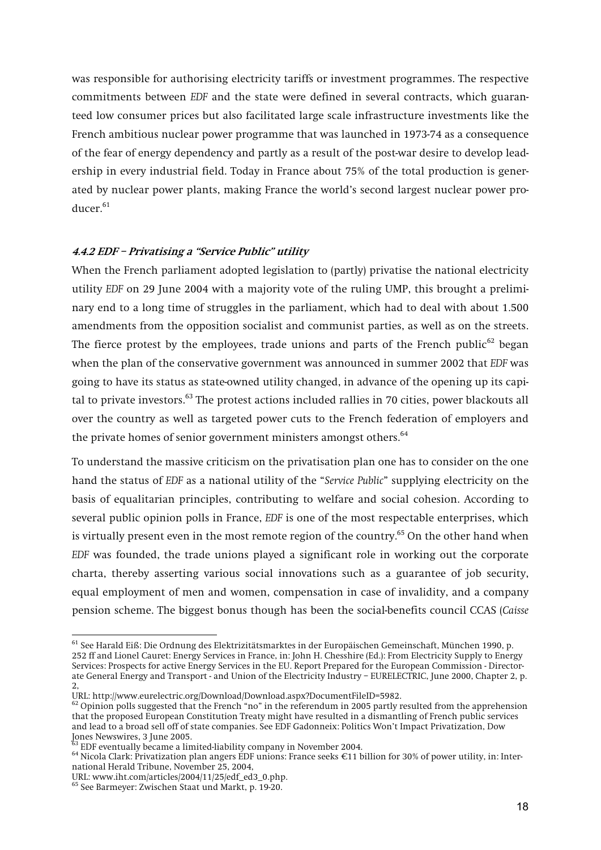**was responsible for authorising electricity tariffs or investment programmes. The respective commitments between** *EDF* **and the state were defined in several contracts, which guaranteed low consumer prices but also facilitated large scale infrastructure investments like the French ambitious nuclear power programme that was launched in 1973-74 as a consequence of the fear of energy dependency and partly as a result of the post-war desire to develop leadership in every industrial field. Today in France about 75% of the total production is generated by nuclear power plants, making France the world's second largest nuclear power producer.<sup>61</sup>**

## **4.4.2 EDF – Privatising a "Service Public" utility**

**When the French parliament adopted legislation to (partly) privatise the national electricity utility** *EDF* **on 29 June 2004 with a majority vote of the ruling UMP, this brought a preliminary end to a long time of struggles in the parliament, which had to deal with about 1.500 amendments from the opposition socialist and communist parties, as well as on the streets. The fierce protest by the employees, trade unions and parts of the French public62 began when the plan of the conservative government was announced in summer 2002 that** *EDF* **was going to have its status as state-owned utility changed, in advance of the opening up its capital to private investors.63 The protest actions included rallies in 70 cities, power blackouts all over the country as well as targeted power cuts to the French federation of employers and the private homes of senior government ministers amongst others.<sup>64</sup>**

**To understand the massive criticism on the privatisation plan one has to consider on the one hand the status of** *EDF* **as a national utility of the "***Service Public***" supplying electricity on the basis of equalitarian principles, contributing to welfare and social cohesion. According to several public opinion polls in France,** *EDF* **is one of the most respectable enterprises, which is virtually present even in the most remote region of the country.65 On the other hand when**  *EDF* **was founded, the trade unions played a significant role in working out the corporate charta, thereby asserting various social innovations such as a guarantee of job security, equal employment of men and women, compensation in case of invalidity, and a company pension scheme. The biggest bonus though has been the social-benefits council CCAS (***Caisse* 

<sup>64</sup> Nicola Clark: Privatization plan angers EDF unions: France seeks €11 billion for 30% of power utility, in: Inter**national Herald Tribune, November 25, 2004,**

**<sup>61</sup> See Harald Eiß: Die Ordnung des Elektrizitätsmarktes in der Europäischen Gemeinschaft, München 1990, p. 252 ff and Lionel Cauret: Energy Services in France, in: John H. Chesshire (Ed.): From Electricity Supply to Energy Services: Prospects for active Energy Services in the EU. Report Prepared for the European Commission - Directorate General Energy and Transport - and Union of the Electricity Industry – EURELECTRIC, June 2000, Chapter 2, p. 2,**

**URL: http://www.eurelectric.org/Download/Download.aspx?DocumentFileID=5982.** 

**<sup>62</sup> Opinion polls suggested that the French "no" in the referendum in 2005 partly resulted from the apprehension that the proposed European Constitution Treaty might have resulted in a dismantling of French public services and lead to a broad sell off of state companies. See EDF Gadonneix: Politics Won't Impact Privatization, Dow Jones Newswires, 3 June 2005.**

**URL: www.iht.com/articles/2004/11/25/edf\_ed3\_0.php.** 

**<sup>65</sup> See Barmeyer: Zwischen Staat und Markt, p. 19-20.**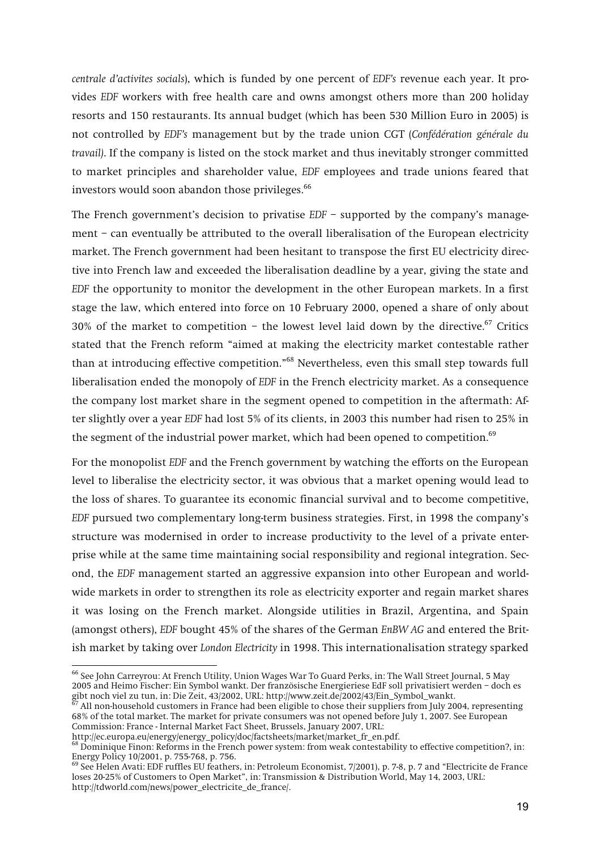*centrale d'activites socials***), which is funded by one percent of** *EDF's* **revenue each year. It provides** *EDF* **workers with free health care and owns amongst others more than 200 holiday resorts and 150 restaurants. Its annual budget (which has been 530 Million Euro in 2005) is not controlled by** *EDF's* **management but by the trade union CGT (***Confédération générale du travail)***. If the company is listed on the stock market and thus inevitably stronger committed to market principles and shareholder value,** *EDF* **employees and trade unions feared that investors would soon abandon those privileges.<sup>66</sup>**

**The French government's decision to privatise** *EDF* **– supported by the company's management – can eventually be attributed to the overall liberalisation of the European electricity market. The French government had been hesitant to transpose the first EU electricity directive into French law and exceeded the liberalisation deadline by a year, giving the state and**  *EDF* **the opportunity to monitor the development in the other European markets. In a first stage the law, which entered into force on 10 February 2000, opened a share of only about 30% of the market to competition – the lowest level laid down by the directive.67 Critics stated that the French reform "aimed at making the electricity market contestable rather than at introducing effective competition."68 Nevertheless, even this small step towards full liberalisation ended the monopoly of** *EDF* **in the French electricity market. As a consequence the company lost market share in the segment opened to competition in the aftermath: After slightly over a year** *EDF* **had lost 5% of its clients, in 2003 this number had risen to 25% in the segment of the industrial power market, which had been opened to competition.69**

**For the monopolist** *EDF* **and the French government by watching the efforts on the European level to liberalise the electricity sector, it was obvious that a market opening would lead to the loss of shares. To guarantee its economic financial survival and to become competitive,**  *EDF* **pursued two complementary long-term business strategies. First, in 1998 the company's structure was modernised in order to increase productivity to the level of a private enterprise while at the same time maintaining social responsibility and regional integration. Second, the** *EDF* **management started an aggressive expansion into other European and worldwide markets in order to strengthen its role as electricity exporter and regain market shares it was losing on the French market. Alongside utilities in Brazil, Argentina, and Spain (amongst others),** *EDF* **bought 45% of the shares of the German** *EnBW AG* **and entered the British market by taking over** *London Electricity* **in 1998. This internationalisation strategy sparked** 

**<sup>66</sup> See John Carreyrou: At French Utility, Union Wages War To Guard Perks, in: The Wall Street Journal, 5 May 2005 and Heimo Fischer: Ein Symbol wankt. Der französische Energieriese EdF soll privatisiert werden – doch es**  gibt noch viel zu tun, in: Die Zeit, 43/2002, URL: http://www.zeit.de/2002/43/Ein\_Symbol\_wankt.

**<sup>67</sup> All non-household customers in France had been eligible to chose their suppliers from July 2004, representing 68% of the total market. The market for private consumers was not opened before July 1, 2007. See European Commission: France - Internal Market Fact Sheet, Brussels, January 2007, URL:** 

**http://ec.europa.eu/energy/energy\_policy/doc/factsheets/market/market\_fr\_en.pdf.** 

<sup>&</sup>lt;sup>68</sup> Dominique Finon: Reforms in the French power system: from weak contestability to effective competition?, in: **Energy Policy 10/2001, p. 755-768, p. 756.**

**<sup>69</sup> See Helen Avati: EDF ruffles EU feathers, in: Petroleum Economist, 7/2001), p. 7-8, p. 7 and "Electricite de France loses 20-25% of Customers to Open Market", in: Transmission & Distribution World, May 14, 2003, URL: http://tdworld.com/news/power\_electricite\_de\_france/.**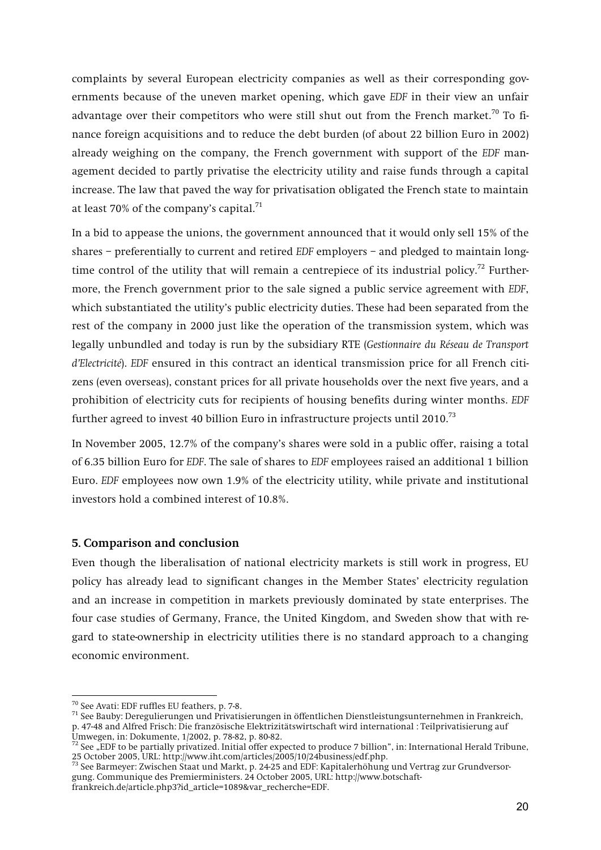**complaints by several European electricity companies as well as their corresponding governments because of the uneven market opening, which gave** *EDF* **in their view an unfair advantage over their competitors who were still shut out from the French market.70 To finance foreign acquisitions and to reduce the debt burden (of about 22 billion Euro in 2002) already weighing on the company, the French government with support of the** *EDF* **management decided to partly privatise the electricity utility and raise funds through a capital increase. The law that paved the way for privatisation obligated the French state to maintain at least 70% of the company's capital.<sup>71</sup>**

**In a bid to appease the unions, the government announced that it would only sell 15% of the shares – preferentially to current and retired** *EDF* **employers – and pledged to maintain longtime control of the utility that will remain a centrepiece of its industrial policy.72 Furthermore, the French government prior to the sale signed a public service agreement with** *EDF***, which substantiated the utility's public electricity duties. These had been separated from the rest of the company in 2000 just like the operation of the transmission system, which was legally unbundled and today is run by the subsidiary RTE (***Gestionnaire du Réseau de Transport d'Electricité***).** *EDF* **ensured in this contract an identical transmission price for all French citizens (even overseas), constant prices for all private households over the next five years, and a prohibition of electricity cuts for recipients of housing benefits during winter months.** *EDF* **further agreed to invest 40 billion Euro in infrastructure projects until 2010.73**

**In November 2005, 12.7% of the company's shares were sold in a public offer, raising a total of 6.35 billion Euro for** *EDF***. The sale of shares to** *EDF* **employees raised an additional 1 billion Euro.** *EDF* **employees now own 1.9% of the electricity utility, while private and institutional investors hold a combined interest of 10.8%.** 

#### **5. Comparison and conclusion**

**Even though the liberalisation of national electricity markets is still work in progress, EU policy has already lead to significant changes in the Member States' electricity regulation and an increase in competition in markets previously dominated by state enterprises. The four case studies of Germany, France, the United Kingdom, and Sweden show that with regard to state-ownership in electricity utilities there is no standard approach to a changing economic environment.** 

<sup>&</sup>lt;sup>70</sup> See Avati: EDF ruffles EU feathers, p. 7-8.<br><sup>71</sup> See Bauby: Deregulierungen und Privatisierungen in öffentlichen Dienstleistungsunternehmen in Frankreich, **p. 47-48 and Alfred Frisch: Die französische Elektrizitätswirtschaft wird international : Teilprivatisierung auf Umwegen, in: Dokumente, 1/2002, p. 78-82, p. 80-82.** 

<sup>&</sup>lt;sup>72</sup> See "EDF to be partially privatized. Initial offer expected to produce 7 billion", in: International Herald Tribune, **25 October 2005, URL: http://www.iht.com/articles/2005/10/24business/edf.php.**

**<sup>73</sup> See Barmeyer: Zwischen Staat und Markt, p. 24-25 and EDF: Kapitalerhöhung und Vertrag zur Grundversorgung. Communique des Premierministers. 24 October 2005, URL: http://www.botschaft-**

**frankreich.de/article.php3?id\_article=1089&var\_recherche=EDF.**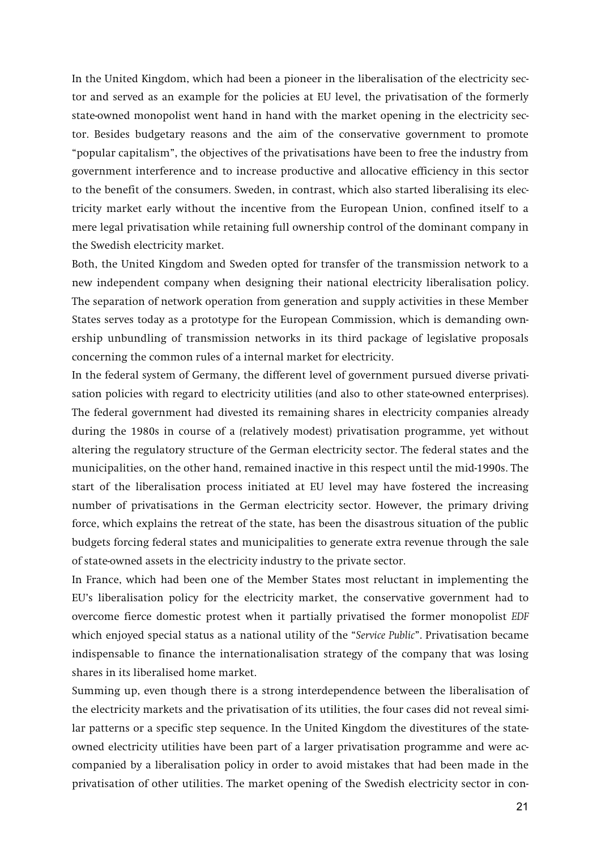**In the United Kingdom, which had been a pioneer in the liberalisation of the electricity sector and served as an example for the policies at EU level, the privatisation of the formerly state-owned monopolist went hand in hand with the market opening in the electricity sector. Besides budgetary reasons and the aim of the conservative government to promote "popular capitalism", the objectives of the privatisations have been to free the industry from government interference and to increase productive and allocative efficiency in this sector to the benefit of the consumers. Sweden, in contrast, which also started liberalising its electricity market early without the incentive from the European Union, confined itself to a mere legal privatisation while retaining full ownership control of the dominant company in the Swedish electricity market.** 

**Both, the United Kingdom and Sweden opted for transfer of the transmission network to a new independent company when designing their national electricity liberalisation policy. The separation of network operation from generation and supply activities in these Member States serves today as a prototype for the European Commission, which is demanding ownership unbundling of transmission networks in its third package of legislative proposals concerning the common rules of a internal market for electricity.** 

**In the federal system of Germany, the different level of government pursued diverse privatisation policies with regard to electricity utilities (and also to other state-owned enterprises). The federal government had divested its remaining shares in electricity companies already during the 1980s in course of a (relatively modest) privatisation programme, yet without altering the regulatory structure of the German electricity sector. The federal states and the municipalities, on the other hand, remained inactive in this respect until the mid-1990s. The start of the liberalisation process initiated at EU level may have fostered the increasing number of privatisations in the German electricity sector. However, the primary driving force, which explains the retreat of the state, has been the disastrous situation of the public budgets forcing federal states and municipalities to generate extra revenue through the sale of state-owned assets in the electricity industry to the private sector.** 

**In France, which had been one of the Member States most reluctant in implementing the EU's liberalisation policy for the electricity market, the conservative government had to overcome fierce domestic protest when it partially privatised the former monopolist** *EDF* **which enjoyed special status as a national utility of the "***Service Public***". Privatisation became indispensable to finance the internationalisation strategy of the company that was losing shares in its liberalised home market.** 

**Summing up, even though there is a strong interdependence between the liberalisation of the electricity markets and the privatisation of its utilities, the four cases did not reveal similar patterns or a specific step sequence. In the United Kingdom the divestitures of the stateowned electricity utilities have been part of a larger privatisation programme and were accompanied by a liberalisation policy in order to avoid mistakes that had been made in the privatisation of other utilities. The market opening of the Swedish electricity sector in con-**